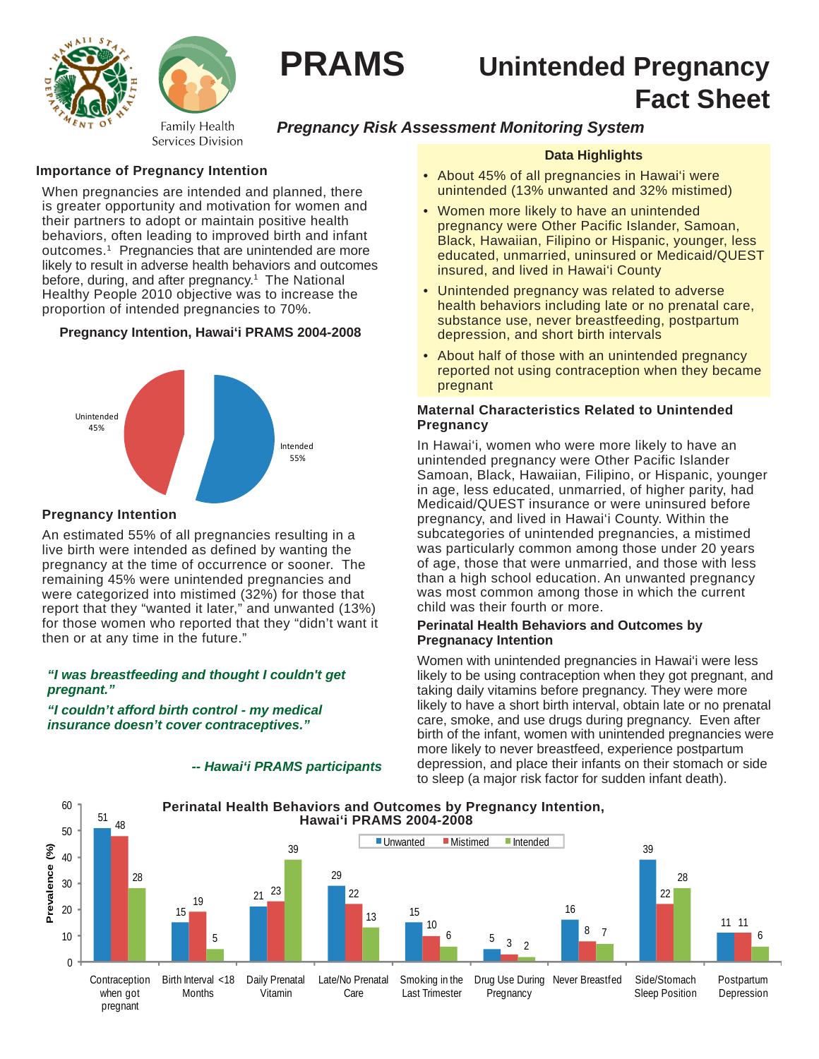



# **PRAMS Unintended Pregnancy Fact Sheet**

# *Pregnancy Risk Assessment Monitoring System*

# **Importance of Pregnancy Intention**

When pregnancies are intended and planned, there is greater opportunity and motivation for women and their partners to adopt or maintain positive health behaviors, often leading to improved birth and infant outcomes.1 Pregnancies that are unintended are more likely to result in adverse health behaviors and outcomes before, during, and after pregnancy.<sup>1</sup> The National Healthy People 2010 objective was to increase the proportion of intended pregnancies to 70%.

# **Pregnancy Intention, Hawai'i PRAMS 2004-2008**



# **Pregnancy Intention**

An estimated 55% of all pregnancies resulting in a live birth were intended as defined by wanting the pregnancy at the time of occurrence or sooner. The remaining 45% were unintended pregnancies and were categorized into mistimed (32%) for those that report that they "wanted it later," and unwanted (13%) for those women who reported that they "didn't want it then or at any time in the future."

#### *"I was breastfeeding and thought I couldn't get pregnant."*

*"I couldn't afford birth control - my medical insurance doesn't cover contraceptives."*

#### *-- Hawai'i PRAMS participants*

## **Data Highlights**

- About 45% of all pregnancies in Hawai'i were unintended (13% unwanted and 32% mistimed)
- Women more likely to have an unintended pregnancy were Other Pacific Islander, Samoan, Black, Hawaiian, Filipino or Hispanic, younger, less educated, unmarried, uninsured or Medicaid/QUEST insured, and lived in Hawai'i County
- Unintended pregnancy was related to adverse health behaviors including late or no prenatal care, substance use, never breastfeeding, postpartum depression, and short birth intervals
- About half of those with an unintended pregnancy reported not using contraception when they became pregnant

## **Maternal Characteristics Related to Unintended Pregnancy**

In Hawai'i, women who were more likely to have an unintended pregnancy were Other Pacific Islander Samoan, Black, Hawaiian, Filipino, or Hispanic, younger in age, less educated, unmarried, of higher parity, had Medicaid/QUEST insurance or were uninsured before pregnancy, and lived in Hawai'i County. Within the subcategories of unintended pregnancies, a mistimed was particularly common among those under 20 years of age, those that were unmarried, and those with less than a high school education. An unwanted pregnancy was most common among those in which the current child was their fourth or more.

#### **Perinatal Health Behaviors and Outcomes by Pregnanacy Intention**

Women with unintended pregnancies in Hawai'i were less likely to be using contraception when they got pregnant, and taking daily vitamins before pregnancy. They were more likely to have a short birth interval, obtain late or no prenatal care, smoke, and use drugs during pregnancy. Even after birth of the infant, women with unintended pregnancies were more likely to never breastfeed, experience postpartum depression, and place their infants on their stomach or side to sleep (a major risk factor for sudden infant death).